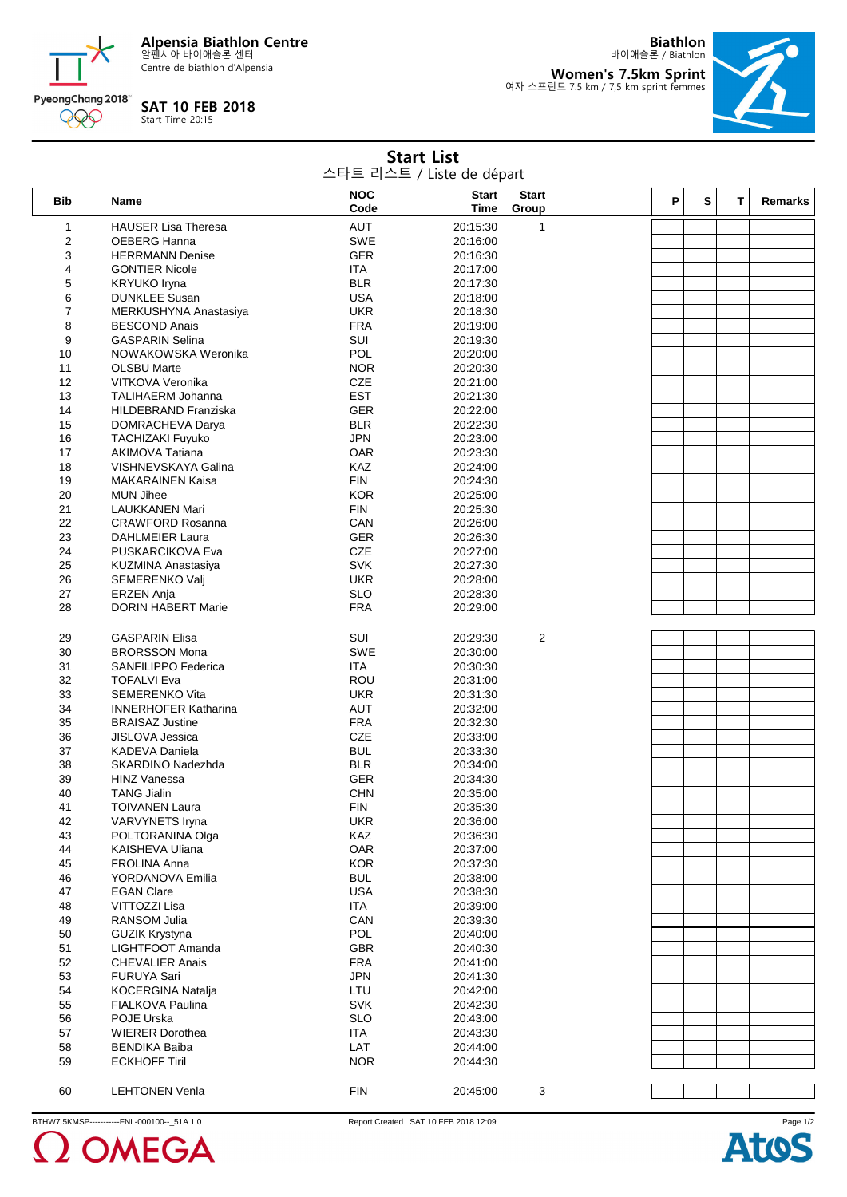**Alpensia Biathlon Centre** 알펜시아 바이애슬론 센터

Centre de biathlon d'Alpensia



**SAT 10 FEB 2018** Start Time 20:15

**Biathlon** 바이애슬론 / Biathlon

**Women's 7.5km Sprint** 여자 스프린트 7.5 km / 7,5 km sprint femmes



|                |                             | 스타트 리스트 / Liste de départ |                      |                       |   |   |   |                |
|----------------|-----------------------------|---------------------------|----------------------|-----------------------|---|---|---|----------------|
| <b>Bib</b>     | Name                        | <b>NOC</b><br>Code        | <b>Start</b><br>Time | <b>Start</b><br>Group | P | S | T | <b>Remarks</b> |
| $\mathbf{1}$   | <b>HAUSER Lisa Theresa</b>  | AUT                       | 20:15:30             | $\mathbf{1}$          |   |   |   |                |
| $\overline{2}$ | OEBERG Hanna                | SWE                       | 20:16:00             |                       |   |   |   |                |
| 3              | <b>HERRMANN Denise</b>      | <b>GER</b>                | 20:16:30             |                       |   |   |   |                |
| 4              | <b>GONTIER Nicole</b>       | ITA                       | 20:17:00             |                       |   |   |   |                |
| 5              | <b>KRYUKO Iryna</b>         | <b>BLR</b>                | 20:17:30             |                       |   |   |   |                |
| 6              | <b>DUNKLEE Susan</b>        | <b>USA</b>                | 20:18:00             |                       |   |   |   |                |
| $\overline{7}$ | MERKUSHYNA Anastasiya       | <b>UKR</b>                | 20:18:30             |                       |   |   |   |                |
| 8              | <b>BESCOND Anais</b>        | <b>FRA</b>                | 20:19:00             |                       |   |   |   |                |
| 9              | <b>GASPARIN Selina</b>      | SUI                       | 20:19:30             |                       |   |   |   |                |
| 10             | NOWAKOWSKA Weronika         | <b>POL</b>                | 20:20:00             |                       |   |   |   |                |
| 11             | <b>OLSBU Marte</b>          | <b>NOR</b>                | 20:20:30             |                       |   |   |   |                |
| 12             | VITKOVA Veronika            | CZE                       | 20:21:00             |                       |   |   |   |                |
| 13             | <b>TALIHAERM Johanna</b>    | <b>EST</b>                | 20:21:30             |                       |   |   |   |                |
| 14             | HILDEBRAND Franziska        | <b>GER</b>                | 20:22:00             |                       |   |   |   |                |
| 15             | DOMRACHEVA Darya            | <b>BLR</b>                | 20:22:30             |                       |   |   |   |                |
| 16             | <b>TACHIZAKI Fuyuko</b>     | <b>JPN</b>                | 20:23:00             |                       |   |   |   |                |
| 17             | <b>AKIMOVA Tatiana</b>      | <b>OAR</b>                | 20:23:30             |                       |   |   |   |                |
| 18             | VISHNEVSKAYA Galina         | KAZ                       | 20:24:00             |                       |   |   |   |                |
| 19             | <b>MAKARAINEN Kaisa</b>     | <b>FIN</b>                | 20:24:30             |                       |   |   |   |                |
| 20             | <b>MUN Jihee</b>            | <b>KOR</b>                | 20:25:00             |                       |   |   |   |                |
| 21             | LAUKKANEN Mari              | <b>FIN</b>                | 20:25:30             |                       |   |   |   |                |
| 22             | <b>CRAWFORD Rosanna</b>     | CAN                       | 20:26:00             |                       |   |   |   |                |
| 23             | <b>DAHLMEIER Laura</b>      | <b>GER</b>                | 20:26:30             |                       |   |   |   |                |
| 24             | PUSKARCIKOVA Eva            | CZE                       | 20:27:00             |                       |   |   |   |                |
| 25             | <b>KUZMINA Anastasiya</b>   | <b>SVK</b>                | 20:27:30             |                       |   |   |   |                |
| 26             | SEMERENKO Valj              | <b>UKR</b>                | 20:28:00             |                       |   |   |   |                |
| 27             | <b>ERZEN Anja</b>           | <b>SLO</b>                | 20:28:30             |                       |   |   |   |                |
| 28             | <b>DORIN HABERT Marie</b>   | <b>FRA</b>                | 20:29:00             |                       |   |   |   |                |
|                |                             |                           |                      |                       |   |   |   |                |
|                |                             |                           |                      |                       |   |   |   |                |
| 29             | <b>GASPARIN Elisa</b>       | SUI                       | 20:29:30             | $\overline{c}$        |   |   |   |                |
| 30             | <b>BRORSSON Mona</b>        | SWE                       | 20:30:00             |                       |   |   |   |                |
| 31             | SANFILIPPO Federica         | ITA                       | 20:30:30             |                       |   |   |   |                |
| 32             | <b>TOFALVI Eva</b>          | ROU                       | 20:31:00             |                       |   |   |   |                |
| 33             | SEMERENKO Vita              | <b>UKR</b>                | 20:31:30             |                       |   |   |   |                |
| 34             | <b>INNERHOFER Katharina</b> | <b>AUT</b>                | 20:32:00             |                       |   |   |   |                |
| 35             | <b>BRAISAZ Justine</b>      | <b>FRA</b>                | 20:32:30             |                       |   |   |   |                |
| 36             | JISLOVA Jessica             | CZE                       | 20:33:00             |                       |   |   |   |                |
| 37             | <b>KADEVA Daniela</b>       | <b>BUL</b>                | 20:33:30             |                       |   |   |   |                |
| 38             | SKARDINO Nadezhda           | <b>BLR</b>                | 20:34:00             |                       |   |   |   |                |
| 39             | <b>HINZ Vanessa</b>         | GER                       | 20:34:30             |                       |   |   |   |                |
| 40             | <b>TANG Jialin</b>          | <b>CHN</b>                | 20:35:00             |                       |   |   |   |                |
| 41             | <b>TOIVANEN Laura</b>       | <b>FIN</b>                | 20:35:30             |                       |   |   |   |                |
| 42             | VARVYNETS Iryna             | <b>UKR</b>                | 20:36:00             |                       |   |   |   |                |
| 43             | POLTORANINA Olga            | KAZ                       | 20:36:30             |                       |   |   |   |                |
| 44             | KAISHEVA Uliana             | OAR                       | 20:37:00             |                       |   |   |   |                |
| 45             | <b>FROLINA Anna</b>         | <b>KOR</b>                | 20:37:30             |                       |   |   |   |                |
| 46             | YORDANOVA Emilia            | <b>BUL</b>                | 20:38:00             |                       |   |   |   |                |
| 47             | <b>EGAN Clare</b>           | <b>USA</b>                | 20:38:30             |                       |   |   |   |                |
| 48             | VITTOZZI Lisa               | ITA                       | 20:39:00             |                       |   |   |   |                |
| 49             | RANSOM Julia                | CAN                       | 20:39:30             |                       |   |   |   |                |
| 50             | <b>GUZIK Krystyna</b>       | <b>POL</b>                | 20:40:00             |                       |   |   |   |                |
| 51             | LIGHTFOOT Amanda            | <b>GBR</b>                | 20:40:30             |                       |   |   |   |                |
| 52             | <b>CHEVALIER Anais</b>      | <b>FRA</b>                | 20:41:00             |                       |   |   |   |                |
| 53             | <b>FURUYA Sari</b>          | JPN                       | 20:41:30             |                       |   |   |   |                |
| 54             | <b>KOCERGINA Natalja</b>    | LTU                       | 20:42:00             |                       |   |   |   |                |
| 55             | FIALKOVA Paulina            | <b>SVK</b>                | 20:42:30             |                       |   |   |   |                |
|                | POJE Urska                  | <b>SLO</b>                |                      |                       |   |   |   |                |
| 56             |                             |                           | 20:43:00             |                       |   |   |   |                |
| 57             | <b>WIERER Dorothea</b>      | ITA                       | 20:43:30             |                       |   |   |   |                |
| 58             | <b>BENDIKA Baiba</b>        | LAT                       | 20:44:00             |                       |   |   |   |                |
| 59             | <b>ECKHOFF Tiril</b>        | <b>NOR</b>                | 20:44:30             |                       |   |   |   |                |
|                |                             |                           |                      |                       |   |   |   |                |
| 60             | <b>LEHTONEN Venla</b>       | <b>FIN</b>                | 20:45:00             | 3                     |   |   |   |                |

**Start List**

BTHW7.5KMSP-----------FNL-000100--\_51A 1.0 Report Created SAT 10 FEB 2018 12:09